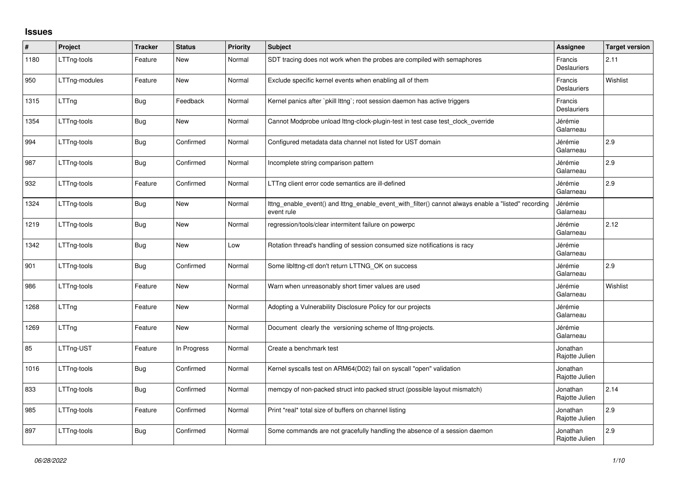## **Issues**

| $\sharp$ | Project       | <b>Tracker</b> | <b>Status</b> | <b>Priority</b> | Subject                                                                                                           | <b>Assignee</b>               | <b>Target version</b> |
|----------|---------------|----------------|---------------|-----------------|-------------------------------------------------------------------------------------------------------------------|-------------------------------|-----------------------|
| 1180     | LTTng-tools   | Feature        | New           | Normal          | SDT tracing does not work when the probes are compiled with semaphores                                            | Francis<br><b>Deslauriers</b> | 2.11                  |
| 950      | LTTng-modules | Feature        | New           | Normal          | Exclude specific kernel events when enabling all of them                                                          | Francis<br><b>Deslauriers</b> | Wishlist              |
| 1315     | LTTng         | <b>Bug</b>     | Feedback      | Normal          | Kernel panics after `pkill lttng`; root session daemon has active triggers                                        | Francis<br><b>Deslauriers</b> |                       |
| 1354     | LTTng-tools   | Bug            | New           | Normal          | Cannot Modprobe unload lttng-clock-plugin-test in test case test_clock_override                                   | Jérémie<br>Galarneau          |                       |
| 994      | LTTng-tools   | <b>Bug</b>     | Confirmed     | Normal          | Configured metadata data channel not listed for UST domain                                                        | Jérémie<br>Galarneau          | 2.9                   |
| 987      | LTTng-tools   | <b>Bug</b>     | Confirmed     | Normal          | Incomplete string comparison pattern                                                                              | Jérémie<br>Galarneau          | 2.9                   |
| 932      | LTTng-tools   | Feature        | Confirmed     | Normal          | LTTng client error code semantics are ill-defined                                                                 | Jérémie<br>Galarneau          | 2.9                   |
| 1324     | LTTng-tools   | <b>Bug</b>     | New           | Normal          | Ittng enable event() and Ittng enable event with filter() cannot always enable a "listed" recording<br>event rule | Jérémie<br>Galarneau          |                       |
| 1219     | LTTng-tools   | Bug            | New           | Normal          | regression/tools/clear intermitent failure on powerpc                                                             | Jérémie<br>Galarneau          | 2.12                  |
| 1342     | LTTng-tools   | Bug            | New           | Low             | Rotation thread's handling of session consumed size notifications is racy                                         | Jérémie<br>Galarneau          |                       |
| 901      | LTTng-tools   | <b>Bug</b>     | Confirmed     | Normal          | Some liblttng-ctl don't return LTTNG_OK on success                                                                | Jérémie<br>Galarneau          | 2.9                   |
| 986      | LTTng-tools   | Feature        | New           | Normal          | Warn when unreasonably short timer values are used                                                                | Jérémie<br>Galarneau          | Wishlist              |
| 1268     | LTTng         | Feature        | New           | Normal          | Adopting a Vulnerability Disclosure Policy for our projects                                                       | Jérémie<br>Galarneau          |                       |
| 1269     | LTTng         | Feature        | New           | Normal          | Document clearly the versioning scheme of lttng-projects.                                                         | Jérémie<br>Galarneau          |                       |
| 85       | LTTng-UST     | Feature        | In Progress   | Normal          | Create a benchmark test                                                                                           | Jonathan<br>Rajotte Julien    |                       |
| 1016     | LTTng-tools   | Bug            | Confirmed     | Normal          | Kernel syscalls test on ARM64(D02) fail on syscall "open" validation                                              | Jonathan<br>Rajotte Julien    |                       |
| 833      | LTTng-tools   | <b>Bug</b>     | Confirmed     | Normal          | memcpy of non-packed struct into packed struct (possible layout mismatch)                                         | Jonathan<br>Rajotte Julien    | 2.14                  |
| 985      | LTTng-tools   | Feature        | Confirmed     | Normal          | Print *real* total size of buffers on channel listing                                                             | Jonathan<br>Rajotte Julien    | 2.9                   |
| 897      | LTTng-tools   | <b>Bug</b>     | Confirmed     | Normal          | Some commands are not gracefully handling the absence of a session daemon                                         | Jonathan<br>Rajotte Julien    | 2.9                   |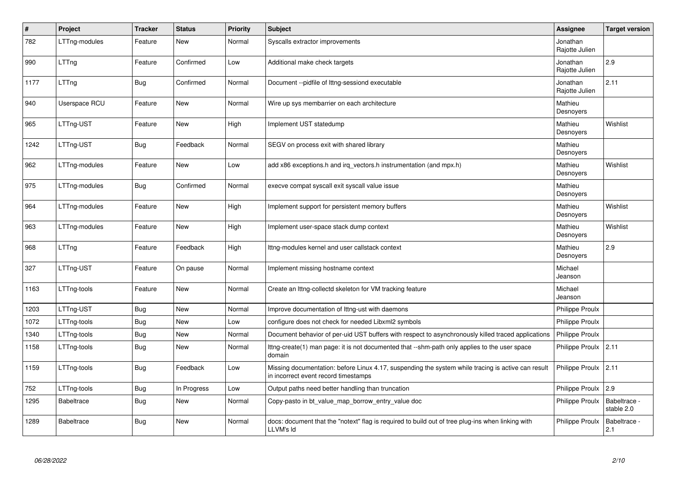| $\pmb{\#}$ | Project           | <b>Tracker</b> | <b>Status</b> | <b>Priority</b> | <b>Subject</b>                                                                                                                             | Assignee                   | <b>Target version</b>      |
|------------|-------------------|----------------|---------------|-----------------|--------------------------------------------------------------------------------------------------------------------------------------------|----------------------------|----------------------------|
| 782        | LTTng-modules     | Feature        | <b>New</b>    | Normal          | Syscalls extractor improvements                                                                                                            | Jonathan<br>Rajotte Julien |                            |
| 990        | LTTng             | Feature        | Confirmed     | Low             | Additional make check targets                                                                                                              | Jonathan<br>Rajotte Julien | 2.9                        |
| 1177       | LTTng             | <b>Bug</b>     | Confirmed     | Normal          | Document --pidfile of lttng-sessiond executable                                                                                            | Jonathan<br>Rajotte Julien | 2.11                       |
| 940        | Userspace RCU     | Feature        | <b>New</b>    | Normal          | Wire up sys membarrier on each architecture                                                                                                | Mathieu<br>Desnoyers       |                            |
| 965        | LTTng-UST         | Feature        | New           | High            | Implement UST statedump                                                                                                                    | Mathieu<br>Desnoyers       | Wishlist                   |
| 1242       | LTTng-UST         | Bug            | Feedback      | Normal          | SEGV on process exit with shared library                                                                                                   | Mathieu<br>Desnoyers       |                            |
| 962        | LTTng-modules     | Feature        | New           | Low             | add x86 exceptions.h and irg vectors.h instrumentation (and mpx.h)                                                                         | Mathieu<br>Desnoyers       | Wishlist                   |
| 975        | LTTng-modules     | <b>Bug</b>     | Confirmed     | Normal          | execve compat syscall exit syscall value issue                                                                                             | Mathieu<br>Desnoyers       |                            |
| 964        | LTTng-modules     | Feature        | <b>New</b>    | High            | Implement support for persistent memory buffers                                                                                            | Mathieu<br>Desnoyers       | Wishlist                   |
| 963        | LTTng-modules     | Feature        | <b>New</b>    | High            | Implement user-space stack dump context                                                                                                    | Mathieu<br>Desnoyers       | Wishlist                   |
| 968        | LTTng             | Feature        | Feedback      | High            | Ittng-modules kernel and user callstack context                                                                                            | Mathieu<br>Desnoyers       | 2.9                        |
| 327        | LTTng-UST         | Feature        | On pause      | Normal          | Implement missing hostname context                                                                                                         | Michael<br>Jeanson         |                            |
| 1163       | LTTng-tools       | Feature        | New           | Normal          | Create an Ittng-collectd skeleton for VM tracking feature                                                                                  | Michael<br>Jeanson         |                            |
| 1203       | LTTng-UST         | <b>Bug</b>     | <b>New</b>    | Normal          | Improve documentation of Ittng-ust with daemons                                                                                            | Philippe Proulx            |                            |
| 1072       | LTTng-tools       | <b>Bug</b>     | <b>New</b>    | Low             | configure does not check for needed Libxml2 symbols                                                                                        | <b>Philippe Proulx</b>     |                            |
| 1340       | LTTng-tools       | <b>Bug</b>     | <b>New</b>    | Normal          | Document behavior of per-uid UST buffers with respect to asynchronously killed traced applications                                         | Philippe Proulx            |                            |
| 1158       | LTTng-tools       | Bug            | New           | Normal          | Ittng-create(1) man page: it is not documented that --shm-path only applies to the user space<br>domain                                    | Philippe Proulx            | 2.11                       |
| 1159       | LTTng-tools       | Bug            | Feedback      | Low             | Missing documentation: before Linux 4.17, suspending the system while tracing is active can result<br>in incorrect event record timestamps | Philippe Proulx            | 2.11                       |
| 752        | LTTng-tools       | Bug            | In Progress   | Low             | Output paths need better handling than truncation                                                                                          | Philippe Proulx            | 2.9                        |
| 1295       | <b>Babeltrace</b> | Bug            | New           | Normal          | Copy-pasto in bt_value_map_borrow_entry_value doc                                                                                          | <b>Philippe Proulx</b>     | Babeltrace -<br>stable 2.0 |
| 1289       | <b>Babeltrace</b> | Bug            | <b>New</b>    | Normal          | docs: document that the "notext" flag is required to build out of tree plug-ins when linking with<br>LLVM's Id                             | <b>Philippe Proulx</b>     | Babeltrace -<br>2.1        |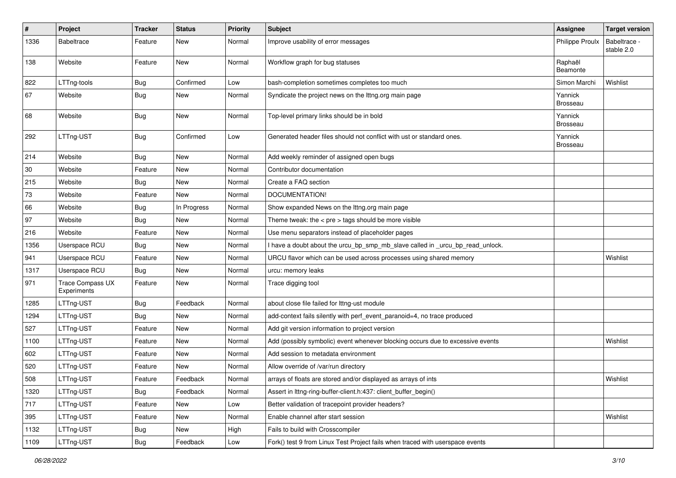| $\#$   | Project                                | <b>Tracker</b> | <b>Status</b> | <b>Priority</b> | Subject                                                                        | <b>Assignee</b>            | <b>Target version</b>      |
|--------|----------------------------------------|----------------|---------------|-----------------|--------------------------------------------------------------------------------|----------------------------|----------------------------|
| 1336   | <b>Babeltrace</b>                      | Feature        | New           | Normal          | Improve usability of error messages                                            | Philippe Proulx            | Babeltrace -<br>stable 2.0 |
| 138    | Website                                | Feature        | New           | Normal          | Workflow graph for bug statuses                                                | Raphaël<br>Beamonte        |                            |
| 822    | LTTng-tools                            | <b>Bug</b>     | Confirmed     | Low             | bash-completion sometimes completes too much                                   | Simon Marchi               | Wishlist                   |
| 67     | Website                                | <b>Bug</b>     | New           | Normal          | Syndicate the project news on the lttng.org main page                          | Yannick<br><b>Brosseau</b> |                            |
| 68     | Website                                | Bug            | New           | Normal          | Top-level primary links should be in bold                                      | Yannick<br><b>Brosseau</b> |                            |
| 292    | LTTng-UST                              | <b>Bug</b>     | Confirmed     | Low             | Generated header files should not conflict with ust or standard ones.          | Yannick<br><b>Brosseau</b> |                            |
| 214    | Website                                | <b>Bug</b>     | New           | Normal          | Add weekly reminder of assigned open bugs                                      |                            |                            |
| 30     | Website                                | Feature        | New           | Normal          | Contributor documentation                                                      |                            |                            |
| 215    | Website                                | Bug            | New           | Normal          | Create a FAQ section                                                           |                            |                            |
| $73\,$ | Website                                | Feature        | New           | Normal          | DOCUMENTATION!                                                                 |                            |                            |
| 66     | Website                                | <b>Bug</b>     | In Progress   | Normal          | Show expanded News on the lttng.org main page                                  |                            |                            |
| 97     | Website                                | <b>Bug</b>     | New           | Normal          | Theme tweak: the < $pre$ > tags should be more visible                         |                            |                            |
| 216    | Website                                | Feature        | New           | Normal          | Use menu separators instead of placeholder pages                               |                            |                            |
| 1356   | Userspace RCU                          | <b>Bug</b>     | New           | Normal          | I have a doubt about the urcu_bp_smp_mb_slave called in _urcu_bp_read_unlock.  |                            |                            |
| 941    | Userspace RCU                          | Feature        | New           | Normal          | URCU flavor which can be used across processes using shared memory             |                            | Wishlist                   |
| 1317   | Userspace RCU                          | Bug            | New           | Normal          | urcu: memory leaks                                                             |                            |                            |
| 971    | <b>Trace Compass UX</b><br>Experiments | Feature        | New           | Normal          | Trace digging tool                                                             |                            |                            |
| 1285   | LTTng-UST                              | <b>Bug</b>     | Feedback      | Normal          | about close file failed for lttng-ust module                                   |                            |                            |
| 1294   | LTTng-UST                              | <b>Bug</b>     | New           | Normal          | add-context fails silently with perf_event_paranoid=4, no trace produced       |                            |                            |
| 527    | LTTng-UST                              | Feature        | New           | Normal          | Add git version information to project version                                 |                            |                            |
| 1100   | LTTng-UST                              | Feature        | New           | Normal          | Add (possibly symbolic) event whenever blocking occurs due to excessive events |                            | Wishlist                   |
| 602    | LTTng-UST                              | Feature        | New           | Normal          | Add session to metadata environment                                            |                            |                            |
| 520    | LTTng-UST                              | Feature        | New           | Normal          | Allow override of /var/run directory                                           |                            |                            |
| 508    | LTTng-UST                              | Feature        | Feedback      | Normal          | arrays of floats are stored and/or displayed as arrays of ints                 |                            | Wishlist                   |
| 1320   | LTTng-UST                              | <b>Bug</b>     | Feedback      | Normal          | Assert in Ittng-ring-buffer-client.h:437: client_buffer_begin()                |                            |                            |
| 717    | LTTng-UST                              | Feature        | New           | Low             | Better validation of tracepoint provider headers?                              |                            |                            |
| 395    | LTTng-UST                              | Feature        | New           | Normal          | Enable channel after start session                                             |                            | Wishlist                   |
| 1132   | LTTng-UST                              | Bug            | New           | High            | Fails to build with Crosscompiler                                              |                            |                            |
| 1109   | LTTng-UST                              | <b>Bug</b>     | Feedback      | Low             | Fork() test 9 from Linux Test Project fails when traced with userspace events  |                            |                            |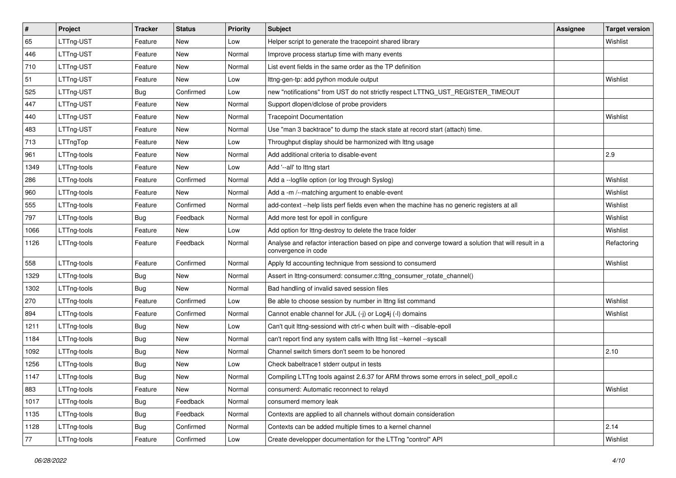| $\sharp$ | Project     | <b>Tracker</b> | <b>Status</b> | <b>Priority</b> | <b>Subject</b>                                                                                                             | Assignee | <b>Target version</b> |
|----------|-------------|----------------|---------------|-----------------|----------------------------------------------------------------------------------------------------------------------------|----------|-----------------------|
| 65       | LTTng-UST   | Feature        | New           | Low             | Helper script to generate the tracepoint shared library                                                                    |          | Wishlist              |
| 446      | LTTng-UST   | Feature        | <b>New</b>    | Normal          | Improve process startup time with many events                                                                              |          |                       |
| 710      | LTTng-UST   | Feature        | New           | Normal          | List event fields in the same order as the TP definition                                                                   |          |                       |
| 51       | LTTng-UST   | Feature        | New           | Low             | Ittng-gen-tp: add python module output                                                                                     |          | Wishlist              |
| 525      | LTTng-UST   | <b>Bug</b>     | Confirmed     | Low             | new "notifications" from UST do not strictly respect LTTNG_UST_REGISTER_TIMEOUT                                            |          |                       |
| 447      | LTTng-UST   | Feature        | New           | Normal          | Support dlopen/dlclose of probe providers                                                                                  |          |                       |
| 440      | LTTng-UST   | Feature        | New           | Normal          | <b>Tracepoint Documentation</b>                                                                                            |          | Wishlist              |
| 483      | LTTng-UST   | Feature        | New           | Normal          | Use "man 3 backtrace" to dump the stack state at record start (attach) time.                                               |          |                       |
| 713      | LTTngTop    | Feature        | New           | Low             | Throughput display should be harmonized with Ittng usage                                                                   |          |                       |
| 961      | LTTng-tools | Feature        | New           | Normal          | Add additional criteria to disable-event                                                                                   |          | 2.9                   |
| 1349     | LTTng-tools | Feature        | New           | Low             | Add '--all' to lttng start                                                                                                 |          |                       |
| 286      | LTTng-tools | Feature        | Confirmed     | Normal          | Add a -- logfile option (or log through Syslog)                                                                            |          | Wishlist              |
| 960      | LTTng-tools | Feature        | New           | Normal          | Add a -m /--matching argument to enable-event                                                                              |          | Wishlist              |
| 555      | LTTng-tools | Feature        | Confirmed     | Normal          | add-context --help lists perf fields even when the machine has no generic registers at all                                 |          | Wishlist              |
| 797      | LTTng-tools | <b>Bug</b>     | Feedback      | Normal          | Add more test for epoll in configure                                                                                       |          | Wishlist              |
| 1066     | LTTng-tools | Feature        | New           | Low             | Add option for lttng-destroy to delete the trace folder                                                                    |          | Wishlist              |
| 1126     | LTTng-tools | Feature        | Feedback      | Normal          | Analyse and refactor interaction based on pipe and converge toward a solution that will result in a<br>convergence in code |          | Refactoring           |
| 558      | LTTng-tools | Feature        | Confirmed     | Normal          | Apply fd accounting technique from sessiond to consumerd                                                                   |          | Wishlist              |
| 1329     | LTTng-tools | <b>Bug</b>     | <b>New</b>    | Normal          | Assert in lttng-consumerd: consumer.c:lttng_consumer_rotate_channel()                                                      |          |                       |
| 1302     | LTTng-tools | <b>Bug</b>     | New           | Normal          | Bad handling of invalid saved session files                                                                                |          |                       |
| 270      | LTTng-tools | Feature        | Confirmed     | Low             | Be able to choose session by number in Ittng list command                                                                  |          | Wishlist              |
| 894      | LTTng-tools | Feature        | Confirmed     | Normal          | Cannot enable channel for JUL (-j) or Log4j (-l) domains                                                                   |          | Wishlist              |
| 1211     | LTTng-tools | <b>Bug</b>     | New           | Low             | Can't quit lttng-sessiond with ctrl-c when built with --disable-epoll                                                      |          |                       |
| 1184     | LTTng-tools | Bug            | <b>New</b>    | Normal          | can't report find any system calls with lttng list --kernel --syscall                                                      |          |                       |
| 1092     | LTTng-tools | <b>Bug</b>     | New           | Normal          | Channel switch timers don't seem to be honored                                                                             |          | 2.10                  |
| 1256     | LTTng-tools | <b>Bug</b>     | New           | Low             | Check babeltrace1 stderr output in tests                                                                                   |          |                       |
| 1147     | LTTng-tools | <b>Bug</b>     | New           | Normal          | Compiling LTTng tools against 2.6.37 for ARM throws some errors in select_poll_epoll.c                                     |          |                       |
| 883      | LTTng-tools | Feature        | New           | Normal          | consumerd: Automatic reconnect to relayd                                                                                   |          | Wishlist              |
| 1017     | LTTng-tools | Bug            | Feedback      | Normal          | consumerd memory leak                                                                                                      |          |                       |
| 1135     | LTTng-tools | <b>Bug</b>     | Feedback      | Normal          | Contexts are applied to all channels without domain consideration                                                          |          |                       |
| 1128     | LTTng-tools | Bug            | Confirmed     | Normal          | Contexts can be added multiple times to a kernel channel                                                                   |          | 2.14                  |
| 77       | LTTng-tools | Feature        | Confirmed     | Low             | Create developper documentation for the LTTng "control" API                                                                |          | Wishlist              |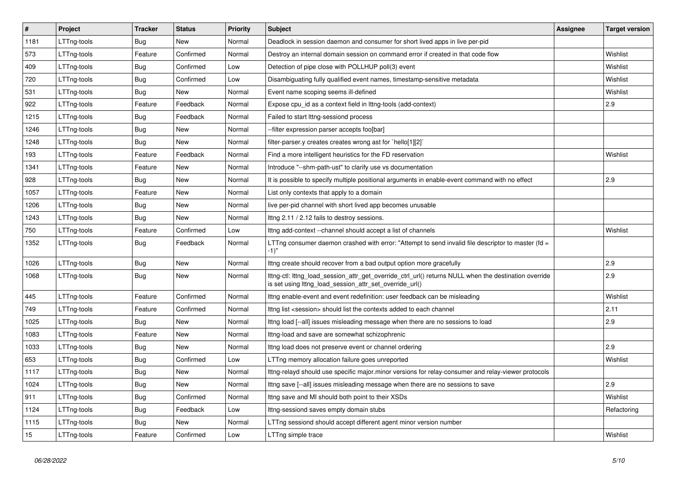| $\vert$ # | Project     | <b>Tracker</b> | <b>Status</b> | Priority | <b>Subject</b>                                                                                                                                                   | <b>Assignee</b> | <b>Target version</b> |
|-----------|-------------|----------------|---------------|----------|------------------------------------------------------------------------------------------------------------------------------------------------------------------|-----------------|-----------------------|
| 1181      | LTTng-tools | <b>Bug</b>     | <b>New</b>    | Normal   | Deadlock in session daemon and consumer for short lived apps in live per-pid                                                                                     |                 |                       |
| 573       | LTTng-tools | Feature        | Confirmed     | Normal   | Destroy an internal domain session on command error if created in that code flow                                                                                 |                 | Wishlist              |
| 409       | LTTng-tools | Bug            | Confirmed     | Low      | Detection of pipe close with POLLHUP poll(3) event                                                                                                               |                 | Wishlist              |
| 720       | LTTng-tools | <b>Bug</b>     | Confirmed     | Low      | Disambiguating fully qualified event names, timestamp-sensitive metadata                                                                                         |                 | Wishlist              |
| 531       | LTTng-tools | <b>Bug</b>     | <b>New</b>    | Normal   | Event name scoping seems ill-defined                                                                                                                             |                 | Wishlist              |
| 922       | LTTng-tools | Feature        | Feedback      | Normal   | Expose cpu_id as a context field in lttng-tools (add-context)                                                                                                    |                 | 2.9                   |
| 1215      | LTTng-tools | <b>Bug</b>     | Feedback      | Normal   | Failed to start lttng-sessiond process                                                                                                                           |                 |                       |
| 1246      | LTTng-tools | <b>Bug</b>     | <b>New</b>    | Normal   | -filter expression parser accepts foo[bar]                                                                                                                       |                 |                       |
| 1248      | LTTng-tools | <b>Bug</b>     | <b>New</b>    | Normal   | filter-parser.y creates creates wrong ast for `hello[1][2]`                                                                                                      |                 |                       |
| 193       | LTTng-tools | Feature        | Feedback      | Normal   | Find a more intelligent heuristics for the FD reservation                                                                                                        |                 | Wishlist              |
| 1341      | LTTng-tools | Feature        | <b>New</b>    | Normal   | Introduce "--shm-path-ust" to clarify use vs documentation                                                                                                       |                 |                       |
| 928       | LTTng-tools | <b>Bug</b>     | <b>New</b>    | Normal   | It is possible to specify multiple positional arguments in enable-event command with no effect                                                                   |                 | 2.9                   |
| 1057      | LTTng-tools | Feature        | <b>New</b>    | Normal   | List only contexts that apply to a domain                                                                                                                        |                 |                       |
| 1206      | LTTng-tools | <b>Bug</b>     | <b>New</b>    | Normal   | live per-pid channel with short lived app becomes unusable                                                                                                       |                 |                       |
| 1243      | LTTng-tools | <b>Bug</b>     | <b>New</b>    | Normal   | Ittng 2.11 / 2.12 fails to destroy sessions.                                                                                                                     |                 |                       |
| 750       | LTTng-tools | Feature        | Confirmed     | Low      | Ittng add-context --channel should accept a list of channels                                                                                                     |                 | Wishlist              |
| 1352      | LTTng-tools | <b>Bug</b>     | Feedback      | Normal   | LTTng consumer daemon crashed with error: "Attempt to send invalid file descriptor to master (fd =<br>-1)"                                                       |                 |                       |
| 1026      | LTTng-tools | Bug            | <b>New</b>    | Normal   | Ittng create should recover from a bad output option more gracefully                                                                                             |                 | 2.9                   |
| 1068      | LTTng-tools | Bug            | <b>New</b>    | Normal   | lttng-ctl: lttng_load_session_attr_get_override_ctrl_url() returns NULL when the destination override<br>is set using lttng_load_session_attr_set_override_url() |                 | 2.9                   |
| 445       | LTTng-tools | Feature        | Confirmed     | Normal   | Ittng enable-event and event redefinition: user feedback can be misleading                                                                                       |                 | Wishlist              |
| 749       | LTTng-tools | Feature        | Confirmed     | Normal   | Ittng list <session> should list the contexts added to each channel</session>                                                                                    |                 | 2.11                  |
| 1025      | LTTng-tools | Bug            | <b>New</b>    | Normal   | Ittng load [--all] issues misleading message when there are no sessions to load                                                                                  |                 | 2.9                   |
| 1083      | LTTng-tools | Feature        | New           | Normal   | Ittng-load and save are somewhat schizophrenic                                                                                                                   |                 |                       |
| 1033      | LTTng-tools | <b>Bug</b>     | <b>New</b>    | Normal   | Ittng load does not preserve event or channel ordering                                                                                                           |                 | 2.9                   |
| 653       | LTTng-tools | <b>Bug</b>     | Confirmed     | Low      | LTTng memory allocation failure goes unreported                                                                                                                  |                 | Wishlist              |
| 1117      | LTTng-tools | <b>Bug</b>     | <b>New</b>    | Normal   | Ittng-relayd should use specific major.minor versions for relay-consumer and relay-viewer protocols                                                              |                 |                       |
| 1024      | LTTng-tools | <b>Bug</b>     | <b>New</b>    | Normal   | Ittng save [--all] issues misleading message when there are no sessions to save                                                                                  |                 | 2.9                   |
| 911       | LTTng-tools | <b>Bug</b>     | Confirmed     | Normal   | Ittng save and MI should both point to their XSDs                                                                                                                |                 | Wishlist              |
| 1124      | LTTng-tools | <b>Bug</b>     | Feedback      | Low      | Ittng-sessiond saves empty domain stubs                                                                                                                          |                 | Refactoring           |
| 1115      | LTTng-tools | Bug            | <b>New</b>    | Normal   | LTTng sessiond should accept different agent minor version number                                                                                                |                 |                       |
| 15        | LTTng-tools | Feature        | Confirmed     | Low      | LTTng simple trace                                                                                                                                               |                 | Wishlist              |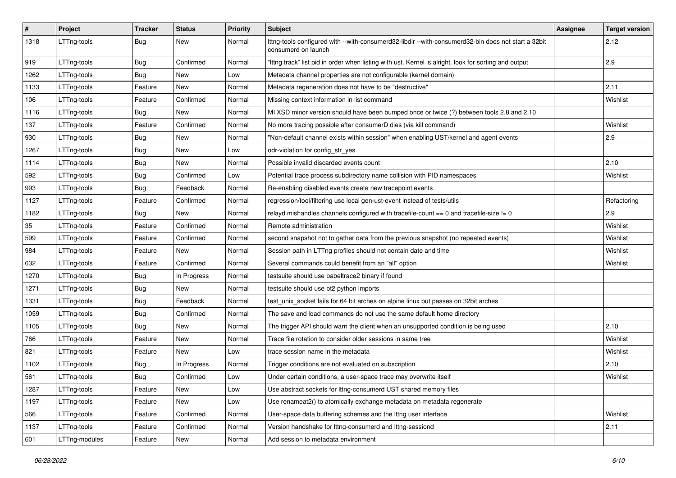| $\vert$ # | Project       | <b>Tracker</b> | <b>Status</b> | Priority | <b>Subject</b>                                                                                                             | <b>Assignee</b> | <b>Target version</b> |
|-----------|---------------|----------------|---------------|----------|----------------------------------------------------------------------------------------------------------------------------|-----------------|-----------------------|
| 1318      | LTTng-tools   | <b>Bug</b>     | New           | Normal   | lttng-tools configured with --with-consumerd32-libdir --with-consumerd32-bin does not start a 32bit<br>consumerd on launch |                 | 2.12                  |
| 919       | LTTng-tools   | <b>Bug</b>     | Confirmed     | Normal   | "Ittng track" list pid in order when listing with ust. Kernel is alright. look for sorting and output                      |                 | 2.9                   |
| 1262      | LTTng-tools   | <b>Bug</b>     | New           | Low      | Metadata channel properties are not configurable (kernel domain)                                                           |                 |                       |
| 1133      | LTTng-tools   | Feature        | New           | Normal   | Metadata regeneration does not have to be "destructive"                                                                    |                 | 2.11                  |
| 106       | LTTng-tools   | Feature        | Confirmed     | Normal   | Missing context information in list command                                                                                |                 | Wishlist              |
| 1116      | LTTng-tools   | <b>Bug</b>     | New           | Normal   | MI XSD minor version should have been bumped once or twice (?) between tools 2.8 and 2.10                                  |                 |                       |
| 137       | LTTng-tools   | Feature        | Confirmed     | Normal   | No more tracing possible after consumerD dies (via kill command)                                                           |                 | Wishlist              |
| 930       | LTTng-tools   | <b>Bug</b>     | <b>New</b>    | Normal   | "Non-default channel exists within session" when enabling UST/kernel and agent events                                      |                 | 2.9                   |
| 1267      | LTTng-tools   | <b>Bug</b>     | New           | Low      | odr-violation for config_str_yes                                                                                           |                 |                       |
| 1114      | LTTng-tools   | <b>Bug</b>     | New           | Normal   | Possible invalid discarded events count                                                                                    |                 | 2.10                  |
| 592       | LTTng-tools   | <b>Bug</b>     | Confirmed     | Low      | Potential trace process subdirectory name collision with PID namespaces                                                    |                 | Wishlist              |
| 993       | LTTng-tools   | <b>Bug</b>     | Feedback      | Normal   | Re-enabling disabled events create new tracepoint events                                                                   |                 |                       |
| 1127      | LTTng-tools   | Feature        | Confirmed     | Normal   | regression/tool/filtering use local gen-ust-event instead of tests/utils                                                   |                 | Refactoring           |
| 1182      | LTTng-tools   | <b>Bug</b>     | New           | Normal   | relayd mishandles channels configured with tracefile-count $== 0$ and tracefile-size $!= 0$                                |                 | 2.9                   |
| 35        | LTTng-tools   | Feature        | Confirmed     | Normal   | Remote administration                                                                                                      |                 | Wishlist              |
| 599       | LTTng-tools   | Feature        | Confirmed     | Normal   | second snapshot not to gather data from the previous snapshot (no repeated events)                                         |                 | Wishlist              |
| 984       | LTTng-tools   | Feature        | New           | Normal   | Session path in LTTng profiles should not contain date and time                                                            |                 | Wishlist              |
| 632       | LTTng-tools   | Feature        | Confirmed     | Normal   | Several commands could benefit from an "all" option                                                                        |                 | Wishlist              |
| 1270      | LTTng-tools   | <b>Bug</b>     | In Progress   | Normal   | testsuite should use babeltrace2 binary if found                                                                           |                 |                       |
| 1271      | LTTng-tools   | <b>Bug</b>     | New           | Normal   | testsuite should use bt2 python imports                                                                                    |                 |                       |
| 1331      | LTTng-tools   | <b>Bug</b>     | Feedback      | Normal   | test_unix_socket fails for 64 bit arches on alpine linux but passes on 32bit arches                                        |                 |                       |
| 1059      | LTTng-tools   | <b>Bug</b>     | Confirmed     | Normal   | The save and load commands do not use the same default home directory                                                      |                 |                       |
| 1105      | LTTng-tools   | <b>Bug</b>     | New           | Normal   | The trigger API should warn the client when an unsupported condition is being used                                         |                 | 2.10                  |
| 766       | LTTng-tools   | Feature        | New           | Normal   | Trace file rotation to consider older sessions in same tree                                                                |                 | Wishlist              |
| 821       | LTTng-tools   | Feature        | New           | Low      | trace session name in the metadata                                                                                         |                 | Wishlist              |
| 1102      | LTTng-tools   | <b>Bug</b>     | In Progress   | Normal   | Trigger conditions are not evaluated on subscription                                                                       |                 | 2.10                  |
| 561       | LTTng-tools   | <b>Bug</b>     | Confirmed     | Low      | Under certain conditions, a user-space trace may overwrite itself                                                          |                 | Wishlist              |
| 1287      | LTTng-tools   | Feature        | New           | Low      | Use abstract sockets for lttng-consumerd UST shared memory files                                                           |                 |                       |
| 1197      | LTTng-tools   | Feature        | New           | Low      | Use renameat2() to atomically exchange metadata on metadata regenerate                                                     |                 |                       |
| 566       | LTTng-tools   | Feature        | Confirmed     | Normal   | User-space data buffering schemes and the lttng user interface                                                             |                 | Wishlist              |
| 1137      | LTTng-tools   | Feature        | Confirmed     | Normal   | Version handshake for Ittng-consumerd and Ittng-sessiond                                                                   |                 | 2.11                  |
| 601       | LTTng-modules | Feature        | New           | Normal   | Add session to metadata environment                                                                                        |                 |                       |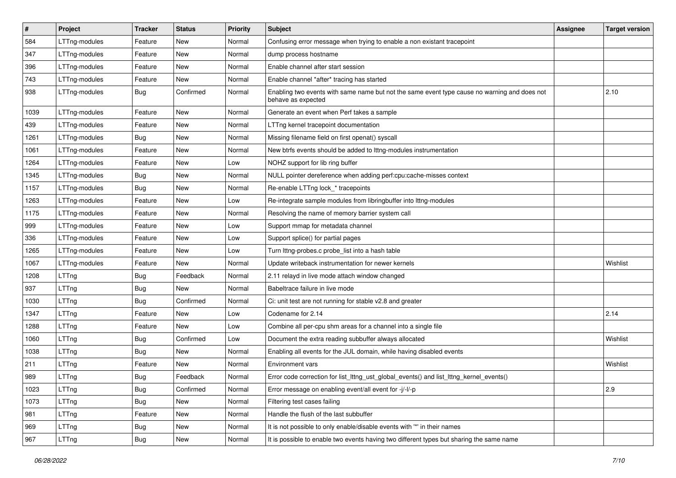| $\vert$ # | Project       | <b>Tracker</b> | <b>Status</b> | <b>Priority</b> | Subject                                                                                                            | Assignee | <b>Target version</b> |
|-----------|---------------|----------------|---------------|-----------------|--------------------------------------------------------------------------------------------------------------------|----------|-----------------------|
| 584       | LTTng-modules | Feature        | New           | Normal          | Confusing error message when trying to enable a non existant tracepoint                                            |          |                       |
| 347       | LTTng-modules | Feature        | New           | Normal          | dump process hostname                                                                                              |          |                       |
| 396       | LTTng-modules | Feature        | New           | Normal          | Enable channel after start session                                                                                 |          |                       |
| 743       | LTTng-modules | Feature        | New           | Normal          | Enable channel *after* tracing has started                                                                         |          |                       |
| 938       | LTTng-modules | <b>Bug</b>     | Confirmed     | Normal          | Enabling two events with same name but not the same event type cause no warning and does not<br>behave as expected |          | 2.10                  |
| 1039      | LTTng-modules | Feature        | New           | Normal          | Generate an event when Perf takes a sample                                                                         |          |                       |
| 439       | LTTng-modules | Feature        | New           | Normal          | LTTng kernel tracepoint documentation                                                                              |          |                       |
| 1261      | LTTng-modules | <b>Bug</b>     | New           | Normal          | Missing filename field on first openat() syscall                                                                   |          |                       |
| 1061      | LTTng-modules | Feature        | New           | Normal          | New btrfs events should be added to lttng-modules instrumentation                                                  |          |                       |
| 1264      | LTTng-modules | Feature        | New           | Low             | NOHZ support for lib ring buffer                                                                                   |          |                       |
| 1345      | LTTng-modules | Bug            | New           | Normal          | NULL pointer dereference when adding perf:cpu:cache-misses context                                                 |          |                       |
| 1157      | LTTng-modules | Bug            | New           | Normal          | Re-enable LTTng lock_* tracepoints                                                                                 |          |                       |
| 1263      | LTTng-modules | Feature        | New           | Low             | Re-integrate sample modules from libringbuffer into Ittng-modules                                                  |          |                       |
| 1175      | LTTng-modules | Feature        | New           | Normal          | Resolving the name of memory barrier system call                                                                   |          |                       |
| 999       | LTTng-modules | Feature        | New           | Low             | Support mmap for metadata channel                                                                                  |          |                       |
| 336       | LTTng-modules | Feature        | New           | Low             | Support splice() for partial pages                                                                                 |          |                       |
| 1265      | LTTng-modules | Feature        | New           | Low             | Turn lttng-probes.c probe_list into a hash table                                                                   |          |                       |
| 1067      | LTTng-modules | Feature        | New           | Normal          | Update writeback instrumentation for newer kernels                                                                 |          | Wishlist              |
| 1208      | LTTng         | <b>Bug</b>     | Feedback      | Normal          | 2.11 relayd in live mode attach window changed                                                                     |          |                       |
| 937       | LTTng         | Bug            | New           | Normal          | Babeltrace failure in live mode                                                                                    |          |                       |
| 1030      | LTTng         | Bug            | Confirmed     | Normal          | Ci: unit test are not running for stable v2.8 and greater                                                          |          |                       |
| 1347      | LTTng         | Feature        | New           | Low             | Codename for 2.14                                                                                                  |          | 2.14                  |
| 1288      | LTTng         | Feature        | New           | Low             | Combine all per-cpu shm areas for a channel into a single file                                                     |          |                       |
| 1060      | LTTng         | <b>Bug</b>     | Confirmed     | Low             | Document the extra reading subbuffer always allocated                                                              |          | Wishlist              |
| 1038      | LTTng         | Bug            | New           | Normal          | Enabling all events for the JUL domain, while having disabled events                                               |          |                       |
| 211       | LTTng         | Feature        | New           | Normal          | <b>Environment vars</b>                                                                                            |          | Wishlist              |
| 989       | LTTng         | Bug            | Feedback      | Normal          | Error code correction for list_lttng_ust_global_events() and list_lttng_kernel_events()                            |          |                       |
| 1023      | LTTng         | <b>Bug</b>     | Confirmed     | Normal          | Error message on enabling event/all event for -j/-l/-p                                                             |          | 2.9                   |
| 1073      | LTTng         | <b>Bug</b>     | New           | Normal          | Filtering test cases failing                                                                                       |          |                       |
| 981       | LTTng         | Feature        | New           | Normal          | Handle the flush of the last subbuffer                                                                             |          |                       |
| 969       | LTTng         | <b>Bug</b>     | New           | Normal          | It is not possible to only enable/disable events with "*' in their names                                           |          |                       |
| 967       | LTTng         | <b>Bug</b>     | New           | Normal          | It is possible to enable two events having two different types but sharing the same name                           |          |                       |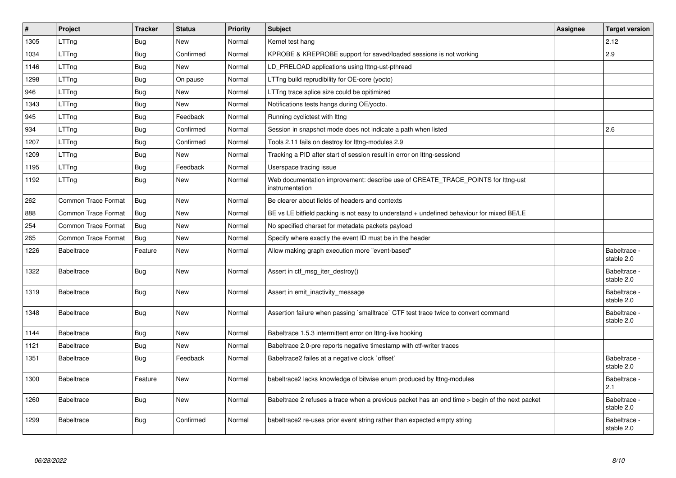| #    | Project                    | <b>Tracker</b> | <b>Status</b> | <b>Priority</b> | <b>Subject</b>                                                                                      | Assignee | <b>Target version</b>      |
|------|----------------------------|----------------|---------------|-----------------|-----------------------------------------------------------------------------------------------------|----------|----------------------------|
| 1305 | LTTng                      | Bug            | <b>New</b>    | Normal          | Kernel test hang                                                                                    |          | 2.12                       |
| 1034 | LTTng                      | <b>Bug</b>     | Confirmed     | Normal          | KPROBE & KREPROBE support for saved/loaded sessions is not working                                  |          | 2.9                        |
| 1146 | LTTng                      | Bug            | New           | Normal          | LD PRELOAD applications using lttng-ust-pthread                                                     |          |                            |
| 1298 | LTTng                      | Bug            | On pause      | Normal          | LTTng build reprudibility for OE-core (yocto)                                                       |          |                            |
| 946  | LTTng                      | Bug            | New           | Normal          | LTTng trace splice size could be opitimized                                                         |          |                            |
| 1343 | LTTng                      | Bug            | New           | Normal          | Notifications tests hangs during OE/yocto.                                                          |          |                            |
| 945  | LTTng                      | Bug            | Feedback      | Normal          | Running cyclictest with Ittng                                                                       |          |                            |
| 934  | LTTng                      | Bug            | Confirmed     | Normal          | Session in snapshot mode does not indicate a path when listed                                       |          | 2.6                        |
| 1207 | LTTng                      | <b>Bug</b>     | Confirmed     | Normal          | Tools 2.11 fails on destroy for lttng-modules 2.9                                                   |          |                            |
| 1209 | LTTng                      | Bug            | New           | Normal          | Tracking a PID after start of session result in error on lttng-sessiond                             |          |                            |
| 1195 | LTTng                      | <b>Bug</b>     | Feedback      | Normal          | Userspace tracing issue                                                                             |          |                            |
| 1192 | LTTng                      | Bug            | New           | Normal          | Web documentation improvement: describe use of CREATE_TRACE_POINTS for lttng-ust<br>instrumentation |          |                            |
| 262  | <b>Common Trace Format</b> | Bug            | <b>New</b>    | Normal          | Be clearer about fields of headers and contexts                                                     |          |                            |
| 888  | <b>Common Trace Format</b> | Bug            | <b>New</b>    | Normal          | BE vs LE bitfield packing is not easy to understand + undefined behaviour for mixed BE/LE           |          |                            |
| 254  | <b>Common Trace Format</b> | <b>Bug</b>     | New           | Normal          | No specified charset for metadata packets payload                                                   |          |                            |
| 265  | <b>Common Trace Format</b> | Bug            | New           | Normal          | Specify where exactly the event ID must be in the header                                            |          |                            |
| 1226 | <b>Babeltrace</b>          | Feature        | New           | Normal          | Allow making graph execution more "event-based"                                                     |          | Babeltrace -<br>stable 2.0 |
| 1322 | <b>Babeltrace</b>          | Bug            | New           | Normal          | Assert in ctf_msg_iter_destroy()                                                                    |          | Babeltrace -<br>stable 2.0 |
| 1319 | <b>Babeltrace</b>          | <b>Bug</b>     | New           | Normal          | Assert in emit_inactivity_message                                                                   |          | Babeltrace -<br>stable 2.0 |
| 1348 | <b>Babeltrace</b>          | <b>Bug</b>     | New           | Normal          | Assertion failure when passing `smalltrace` CTF test trace twice to convert command                 |          | Babeltrace -<br>stable 2.0 |
| 1144 | <b>Babeltrace</b>          | Bug            | New           | Normal          | Babeltrace 1.5.3 intermittent error on Ittng-live hooking                                           |          |                            |
| 1121 | <b>Babeltrace</b>          | Bug            | New           | Normal          | Babeltrace 2.0-pre reports negative timestamp with ctf-writer traces                                |          |                            |
| 1351 | <b>Babeltrace</b>          | Bug            | Feedback      | Normal          | Babeltrace2 failes at a negative clock `offset`                                                     |          | Babeltrace -<br>stable 2.0 |
| 1300 | <b>Babeltrace</b>          | Feature        | New           | Normal          | babeltrace2 lacks knowledge of bitwise enum produced by lttng-modules                               |          | Babeltrace -<br>2.1        |
| 1260 | <b>Babeltrace</b>          | Bug            | <b>New</b>    | Normal          | Babeltrace 2 refuses a trace when a previous packet has an end time > begin of the next packet      |          | Babeltrace -<br>stable 2.0 |
| 1299 | <b>Babeltrace</b>          | Bug            | Confirmed     | Normal          | babeltrace2 re-uses prior event string rather than expected empty string                            |          | Babeltrace -<br>stable 2.0 |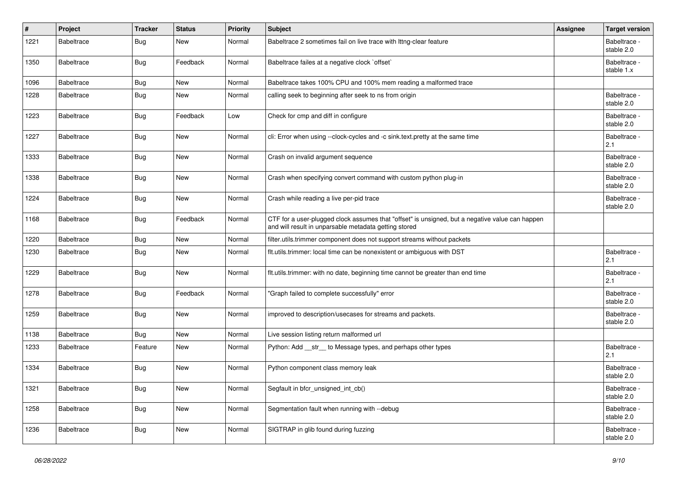| #    | Project           | <b>Tracker</b> | <b>Status</b> | Priority | Subject                                                                                                                                                  | Assignee | <b>Target version</b>      |
|------|-------------------|----------------|---------------|----------|----------------------------------------------------------------------------------------------------------------------------------------------------------|----------|----------------------------|
| 1221 | <b>Babeltrace</b> | <b>Bug</b>     | New           | Normal   | Babeltrace 2 sometimes fail on live trace with Ittng-clear feature                                                                                       |          | Babeltrace -<br>stable 2.0 |
| 1350 | Babeltrace        | Bug            | Feedback      | Normal   | Babeltrace failes at a negative clock `offset`                                                                                                           |          | Babeltrace -<br>stable 1.x |
| 1096 | <b>Babeltrace</b> | <b>Bug</b>     | <b>New</b>    | Normal   | Babeltrace takes 100% CPU and 100% mem reading a malformed trace                                                                                         |          |                            |
| 1228 | Babeltrace        | <b>Bug</b>     | New           | Normal   | calling seek to beginning after seek to ns from origin                                                                                                   |          | Babeltrace -<br>stable 2.0 |
| 1223 | <b>Babeltrace</b> | Bug            | Feedback      | Low      | Check for cmp and diff in configure                                                                                                                      |          | Babeltrace -<br>stable 2.0 |
| 1227 | <b>Babeltrace</b> | <b>Bug</b>     | New           | Normal   | cli: Error when using --clock-cycles and -c sink.text.pretty at the same time                                                                            |          | Babeltrace -<br>2.1        |
| 1333 | <b>Babeltrace</b> | <b>Bug</b>     | New           | Normal   | Crash on invalid argument sequence                                                                                                                       |          | Babeltrace -<br>stable 2.0 |
| 1338 | Babeltrace        | Bug            | <b>New</b>    | Normal   | Crash when specifying convert command with custom python plug-in                                                                                         |          | Babeltrace -<br>stable 2.0 |
| 1224 | <b>Babeltrace</b> | <b>Bug</b>     | <b>New</b>    | Normal   | Crash while reading a live per-pid trace                                                                                                                 |          | Babeltrace -<br>stable 2.0 |
| 1168 | <b>Babeltrace</b> | <b>Bug</b>     | Feedback      | Normal   | CTF for a user-plugged clock assumes that "offset" is unsigned, but a negative value can happen<br>and will result in unparsable metadata getting stored |          |                            |
| 1220 | <b>Babeltrace</b> | <b>Bug</b>     | New           | Normal   | filter.utils.trimmer component does not support streams without packets                                                                                  |          |                            |
| 1230 | <b>Babeltrace</b> | <b>Bug</b>     | <b>New</b>    | Normal   | flt.utils.trimmer: local time can be nonexistent or ambiguous with DST                                                                                   |          | Babeltrace -<br>2.1        |
| 1229 | <b>Babeltrace</b> | <b>Bug</b>     | New           | Normal   | flt.utils.trimmer: with no date, beginning time cannot be greater than end time                                                                          |          | Babeltrace -<br>2.1        |
| 1278 | <b>Babeltrace</b> | <b>Bug</b>     | Feedback      | Normal   | "Graph failed to complete successfully" error                                                                                                            |          | Babeltrace -<br>stable 2.0 |
| 1259 | Babeltrace        | Bug            | New           | Normal   | improved to description/usecases for streams and packets.                                                                                                |          | Babeltrace -<br>stable 2.0 |
| 1138 | <b>Babeltrace</b> | Bug            | New           | Normal   | Live session listing return malformed url                                                                                                                |          |                            |
| 1233 | <b>Babeltrace</b> | Feature        | New           | Normal   | Python: Add ___ str___ to Message types, and perhaps other types                                                                                         |          | Babeltrace -<br>2.1        |
| 1334 | <b>Babeltrace</b> | <b>Bug</b>     | <b>New</b>    | Normal   | Python component class memory leak                                                                                                                       |          | Babeltrace -<br>stable 2.0 |
| 1321 | Babeltrace        | Bug            | New           | Normal   | Segfault in bfcr_unsigned_int_cb()                                                                                                                       |          | Babeltrace -<br>stable 2.0 |
| 1258 | Babeltrace        | Bug            | New           | Normal   | Segmentation fault when running with --debug                                                                                                             |          | Babeltrace -<br>stable 2.0 |
| 1236 | Babeltrace        | Bug            | New           | Normal   | SIGTRAP in glib found during fuzzing                                                                                                                     |          | Babeltrace -<br>stable 2.0 |